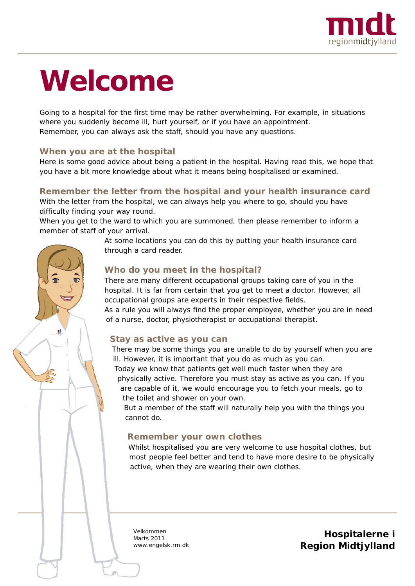

# **Welcome**

Going to a hospital for the first time may be rather overwhelming. For example, in situations where you suddenly become ill, hurt yourself, or if you have an appointment. Remember, you can always ask the staff, should you have any questions.

## **When you are at the hospital**

桂

Here is some good advice about being a patient in the hospital. Having read this, we hope that you have a bit more knowledge about what it means being hospitalised or examined.

# **Remember the letter from the hospital and your health insurance card**

With the letter from the hospital, we can always help you where to go, should you have difficulty finding your way round.

When you get to the ward to which you are summoned, then please remember to inform a member of staff of your arrival.

> At some locations you can do this by putting your health insurance card through a card reader.

# **Who do you meet in the hospital?**

There are many different occupational groups taking care of you in the hospital. It is far from certain that you get to meet a doctor. However, all occupational groups are experts in their respective fields.

As a rule you will always find the proper employee, whether you are in need of a nurse, doctor, physiotherapist or occupational therapist.

## **Stay as active as you can**

There may be some things you are unable to do by yourself when you are ill. However, it is important that you do as much as you can.

Today we know that patients get well much faster when they are physically active. Therefore you must stay as active as you can. *If* you are capable of it, we would encourage you to fetch your meals, go to the toilet and shower on your own.

But a member of the staff will naturally help you with the things you cannot do.

## **Remember your own clothes**

Whilst hospitalised you are very welcome to use hospital clothes, but most people feel better and tend to have more desire to be physically active, when they are wearing their own clothes.

Velkommen Marts 2011 www.engelsk.rm.dk

**Hospitalerne i Region Midtjylland**